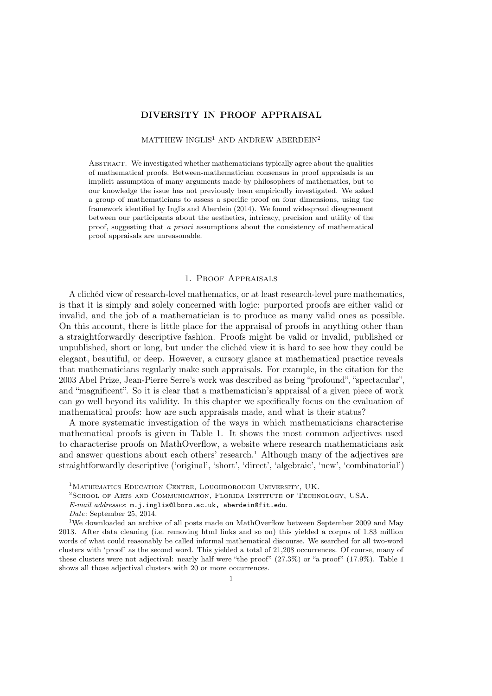# DIVERSITY IN PROOF APPRAISAL

## MATTHEW INGLIS<sup>1</sup> AND ANDREW ABERDEIN<sup>2</sup>

Abstract. We investigated whether mathematicians typically agree about the qualities of mathematical proofs. Between-mathematician consensus in proof appraisals is an implicit assumption of many arguments made by philosophers of mathematics, but to our knowledge the issue has not previously been empirically investigated. We asked a group of mathematicians to assess a specific proof on four dimensions, using the framework identified by Inglis and Aberdein (2014). We found widespread disagreement between our participants about the aesthetics, intricacy, precision and utility of the proof, suggesting that a priori assumptions about the consistency of mathematical proof appraisals are unreasonable.

## 1. Proof Appraisals

A clichéd view of research-level mathematics, or at least research-level pure mathematics, is that it is simply and solely concerned with logic: purported proofs are either valid or invalid, and the job of a mathematician is to produce as many valid ones as possible. On this account, there is little place for the appraisal of proofs in anything other than a straightforwardly descriptive fashion. Proofs might be valid or invalid, published or unpublished, short or long, but under the clichéd view it is hard to see how they could be elegant, beautiful, or deep. However, a cursory glance at mathematical practice reveals that mathematicians regularly make such appraisals. For example, in the citation for the 2003 Abel Prize, Jean-Pierre Serre's work was described as being "profound", "spectacular", and "magnificent". So it is clear that a mathematician's appraisal of a given piece of work can go well beyond its validity. In this chapter we specifically focus on the evaluation of mathematical proofs: how are such appraisals made, and what is their status?

A more systematic investigation of the ways in which mathematicians characterise mathematical proofs is given in Table 1. It shows the most common adjectives used to characterise proofs on MathOverflow, a website where research mathematicians ask and answer questions about each others' research.<sup>1</sup> Although many of the adjectives are straightforwardly descriptive ('original', 'short', 'direct', 'algebraic', 'new', 'combinatorial')

E-mail addresses: m.j.inglis@lboro.ac.uk, aberdein@fit.edu.

<sup>&</sup>lt;sup>1</sup>MATHEMATICS EDUCATION CENTRE, LOUGHBOROUGH UNIVERSITY, UK.

<sup>2</sup>School of Arts and Communication, Florida Institute of Technology, USA.

Date: September 25, 2014.

<sup>1</sup>We downloaded an archive of all posts made on MathOverflow between September 2009 and May 2013. After data cleaning (i.e. removing html links and so on) this yielded a corpus of 1.83 million words of what could reasonably be called informal mathematical discourse. We searched for all two-word clusters with 'proof' as the second word. This yielded a total of 21,208 occurrences. Of course, many of these clusters were not adjectival: nearly half were "the proof" (27.3%) or "a proof" (17.9%). Table 1 shows all those adjectival clusters with 20 or more occurrences.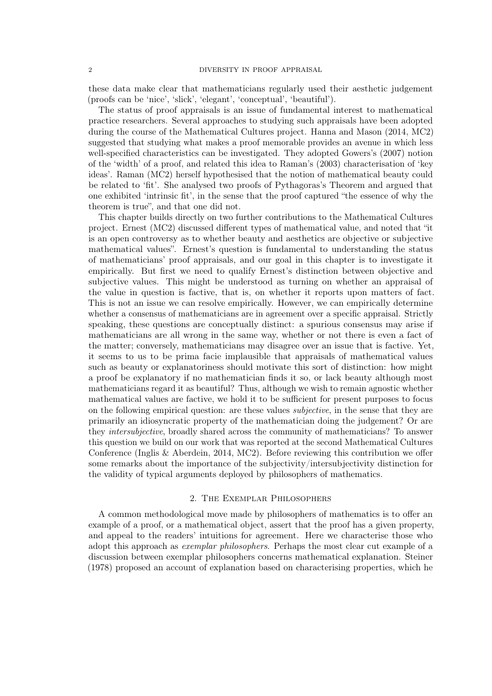these data make clear that mathematicians regularly used their aesthetic judgement (proofs can be 'nice', 'slick', 'elegant', 'conceptual', 'beautiful').

The status of proof appraisals is an issue of fundamental interest to mathematical practice researchers. Several approaches to studying such appraisals have been adopted during the course of the Mathematical Cultures project. Hanna and Mason (2014, MC2) suggested that studying what makes a proof memorable provides an avenue in which less well-specified characteristics can be investigated. They adopted Gowers's (2007) notion of the 'width' of a proof, and related this idea to Raman's (2003) characterisation of 'key ideas'. Raman (MC2) herself hypothesised that the notion of mathematical beauty could be related to 'fit'. She analysed two proofs of Pythagoras's Theorem and argued that one exhibited 'intrinsic fit', in the sense that the proof captured "the essence of why the theorem is true", and that one did not.

This chapter builds directly on two further contributions to the Mathematical Cultures project. Ernest (MC2) discussed different types of mathematical value, and noted that "it is an open controversy as to whether beauty and aesthetics are objective or subjective mathematical values". Ernest's question is fundamental to understanding the status of mathematicians' proof appraisals, and our goal in this chapter is to investigate it empirically. But first we need to qualify Ernest's distinction between objective and subjective values. This might be understood as turning on whether an appraisal of the value in question is factive, that is, on whether it reports upon matters of fact. This is not an issue we can resolve empirically. However, we can empirically determine whether a consensus of mathematicians are in agreement over a specific appraisal. Strictly speaking, these questions are conceptually distinct: a spurious consensus may arise if mathematicians are all wrong in the same way, whether or not there is even a fact of the matter; conversely, mathematicians may disagree over an issue that is factive. Yet, it seems to us to be prima facie implausible that appraisals of mathematical values such as beauty or explanatoriness should motivate this sort of distinction: how might a proof be explanatory if no mathematician finds it so, or lack beauty although most mathematicians regard it as beautiful? Thus, although we wish to remain agnostic whether mathematical values are factive, we hold it to be sufficient for present purposes to focus on the following empirical question: are these values subjective, in the sense that they are primarily an idiosyncratic property of the mathematician doing the judgement? Or are they intersubjective, broadly shared across the community of mathematicians? To answer this question we build on our work that was reported at the second Mathematical Cultures Conference (Inglis & Aberdein, 2014, MC2). Before reviewing this contribution we offer some remarks about the importance of the subjectivity/intersubjectivity distinction for the validity of typical arguments deployed by philosophers of mathematics.

#### 2. The Exemplar Philosophers

A common methodological move made by philosophers of mathematics is to offer an example of a proof, or a mathematical object, assert that the proof has a given property, and appeal to the readers' intuitions for agreement. Here we characterise those who adopt this approach as exemplar philosophers. Perhaps the most clear cut example of a discussion between exemplar philosophers concerns mathematical explanation. Steiner (1978) proposed an account of explanation based on characterising properties, which he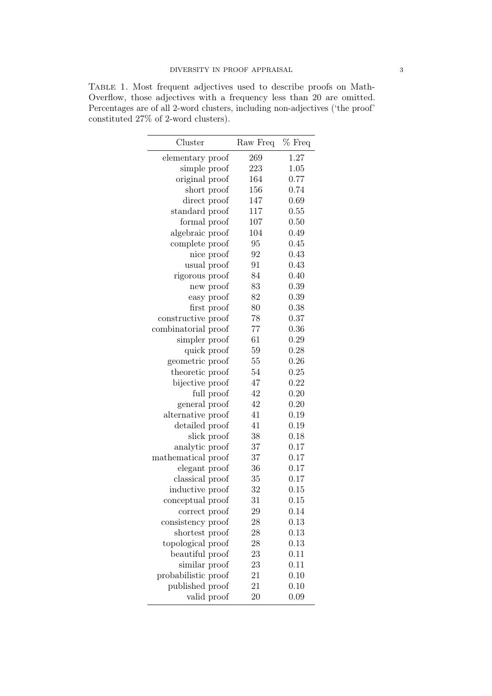| TABLE 1. Most frequent adjectives used to describe proofs on Math-            |
|-------------------------------------------------------------------------------|
| Overflow, those adjectives with a frequency less than 20 are omitted.         |
| Percentages are of all 2-word clusters, including non-adjectives ('the proof' |
| constituted $27\%$ of 2-word clusters).                                       |

| Cluster             | Raw Freq | % Freq |
|---------------------|----------|--------|
| elementary proof    | 269      | 1.27   |
| simple proof        | 223      | 1.05   |
| original proof      | 164      | 0.77   |
| short proof         | 156      | 0.74   |
| direct proof        | 147      | 0.69   |
| standard proof      | 117      | 0.55   |
| formal proof        | 107      | 0.50   |
| algebraic proof     | 104      | 0.49   |
| complete proof      | 95       | 0.45   |
| nice proof          | 92       | 0.43   |
| usual proof         | 91       | 0.43   |
| rigorous proof      | 84       | 0.40   |
| new proof           | 83       | 0.39   |
| easy proof          | 82       | 0.39   |
| first proof         | 80       | 0.38   |
| constructive proof  | 78       | 0.37   |
| combinatorial proof | 77       | 0.36   |
| simpler proof       | 61       | 0.29   |
| quick proof         | 59       | 0.28   |
| geometric proof     | 55       | 0.26   |
| theoretic proof     | 54       | 0.25   |
| bijective proof     | 47       | 0.22   |
| full proof          | 42       | 0.20   |
| general proof       | 42       | 0.20   |
| alternative proof   | 41       | 0.19   |
| detailed proof      | 41       | 0.19   |
| slick proof         | 38       | 0.18   |
| analytic proof      | 37       | 0.17   |
| mathematical proof  | 37       | 0.17   |
| elegant proof       | 36       | 0.17   |
| classical proof     | 35       | 0.17   |
| inductive proof     | 32       | 0.15   |
| conceptual proof    | 31       | 0.15   |
| correct proof       | 29       | 0.14   |
| consistency proof   | 28       | 0.13   |
| shortest proof      | 28       | 0.13   |
| topological proof   | 28       | 0.13   |
| beautiful proof     | 23       | 0.11   |
| similar proof       | 23       | 0.11   |
| probabilistic proof | 21       | 0.10   |
| published proof     | 21       | 0.10   |
| valid proof         | 20       | 0.09   |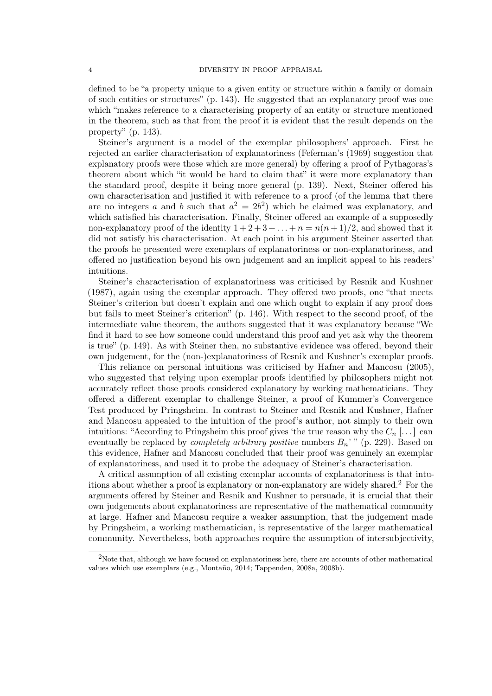defined to be "a property unique to a given entity or structure within a family or domain of such entities or structures" (p. 143). He suggested that an explanatory proof was one which "makes reference to a characterising property of an entity or structure mentioned in the theorem, such as that from the proof it is evident that the result depends on the property" (p. 143).

Steiner's argument is a model of the exemplar philosophers' approach. First he rejected an earlier characterisation of explanatoriness (Feferman's (1969) suggestion that explanatory proofs were those which are more general) by offering a proof of Pythagoras's theorem about which "it would be hard to claim that" it were more explanatory than the standard proof, despite it being more general (p. 139). Next, Steiner offered his own characterisation and justified it with reference to a proof (of the lemma that there are no integers a and b such that  $a^2 = 2b^2$ ) which he claimed was explanatory, and which satisfied his characterisation. Finally, Steiner offered an example of a supposedly non-explanatory proof of the identity  $1 + 2 + 3 + \ldots + n = n(n + 1)/2$ , and showed that it did not satisfy his characterisation. At each point in his argument Steiner asserted that the proofs he presented were exemplars of explanatoriness or non-explanatoriness, and offered no justification beyond his own judgement and an implicit appeal to his readers' intuitions.

Steiner's characterisation of explanatoriness was criticised by Resnik and Kushner (1987), again using the exemplar approach. They offered two proofs, one "that meets Steiner's criterion but doesn't explain and one which ought to explain if any proof does but fails to meet Steiner's criterion" (p. 146). With respect to the second proof, of the intermediate value theorem, the authors suggested that it was explanatory because "We find it hard to see how someone could understand this proof and yet ask why the theorem is true" (p. 149). As with Steiner then, no substantive evidence was offered, beyond their own judgement, for the (non-)explanatoriness of Resnik and Kushner's exemplar proofs.

This reliance on personal intuitions was criticised by Hafner and Mancosu (2005), who suggested that relying upon exemplar proofs identified by philosophers might not accurately reflect those proofs considered explanatory by working mathematicians. They offered a different exemplar to challenge Steiner, a proof of Kummer's Convergence Test produced by Pringsheim. In contrast to Steiner and Resnik and Kushner, Hafner and Mancosu appealed to the intuition of the proof's author, not simply to their own intuitions: "According to Pringsheim this proof gives 'the true reason why the  $C_n$  [...] can eventually be replaced by *completely arbitrary positive* numbers  $B_n$ <sup>"</sup> (p. 229). Based on this evidence, Hafner and Mancosu concluded that their proof was genuinely an exemplar of explanatoriness, and used it to probe the adequacy of Steiner's characterisation.

A critical assumption of all existing exemplar accounts of explanatoriness is that intuitions about whether a proof is explanatory or non-explanatory are widely shared.<sup>2</sup> For the arguments offered by Steiner and Resnik and Kushner to persuade, it is crucial that their own judgements about explanatoriness are representative of the mathematical community at large. Hafner and Mancosu require a weaker assumption, that the judgement made by Pringsheim, a working mathematician, is representative of the larger mathematical community. Nevertheless, both approaches require the assumption of intersubjectivity,

<sup>&</sup>lt;sup>2</sup>Note that, although we have focused on explanatoriness here, there are accounts of other mathematical values which use exemplars (e.g., Montaño, 2014; Tappenden, 2008a, 2008b).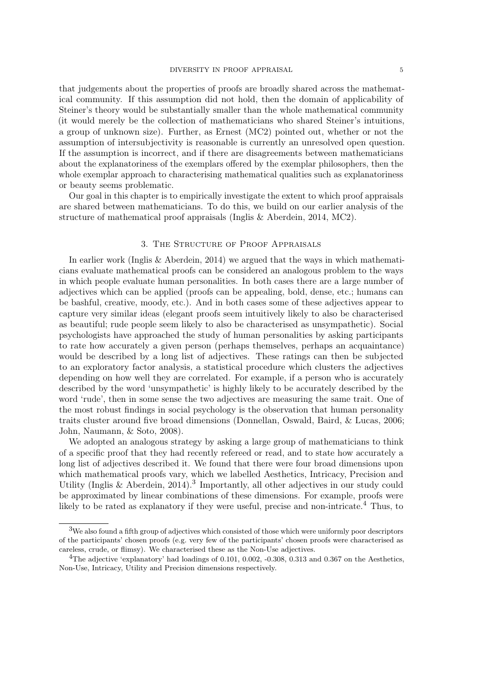that judgements about the properties of proofs are broadly shared across the mathematical community. If this assumption did not hold, then the domain of applicability of Steiner's theory would be substantially smaller than the whole mathematical community (it would merely be the collection of mathematicians who shared Steiner's intuitions, a group of unknown size). Further, as Ernest (MC2) pointed out, whether or not the assumption of intersubjectivity is reasonable is currently an unresolved open question. If the assumption is incorrect, and if there are disagreements between mathematicians about the explanatoriness of the exemplars offered by the exemplar philosophers, then the whole exemplar approach to characterising mathematical qualities such as explanatoriness or beauty seems problematic.

Our goal in this chapter is to empirically investigate the extent to which proof appraisals are shared between mathematicians. To do this, we build on our earlier analysis of the structure of mathematical proof appraisals (Inglis & Aberdein, 2014, MC2).

## 3. The Structure of Proof Appraisals

In earlier work (Inglis & Aberdein, 2014) we argued that the ways in which mathematicians evaluate mathematical proofs can be considered an analogous problem to the ways in which people evaluate human personalities. In both cases there are a large number of adjectives which can be applied (proofs can be appealing, bold, dense, etc.; humans can be bashful, creative, moody, etc.). And in both cases some of these adjectives appear to capture very similar ideas (elegant proofs seem intuitively likely to also be characterised as beautiful; rude people seem likely to also be characterised as unsympathetic). Social psychologists have approached the study of human personalities by asking participants to rate how accurately a given person (perhaps themselves, perhaps an acquaintance) would be described by a long list of adjectives. These ratings can then be subjected to an exploratory factor analysis, a statistical procedure which clusters the adjectives depending on how well they are correlated. For example, if a person who is accurately described by the word 'unsympathetic' is highly likely to be accurately described by the word 'rude', then in some sense the two adjectives are measuring the same trait. One of the most robust findings in social psychology is the observation that human personality traits cluster around five broad dimensions (Donnellan, Oswald, Baird, & Lucas, 2006; John, Naumann, & Soto, 2008).

We adopted an analogous strategy by asking a large group of mathematicians to think of a specific proof that they had recently refereed or read, and to state how accurately a long list of adjectives described it. We found that there were four broad dimensions upon which mathematical proofs vary, which we labelled Aesthetics, Intricacy, Precision and Utility (Inglis & Aberdein, 2014).<sup>3</sup> Importantly, all other adjectives in our study could be approximated by linear combinations of these dimensions. For example, proofs were likely to be rated as explanatory if they were useful, precise and non-intricate.<sup>4</sup> Thus, to

<sup>3</sup>We also found a fifth group of adjectives which consisted of those which were uniformly poor descriptors of the participants' chosen proofs (e.g. very few of the participants' chosen proofs were characterised as careless, crude, or flimsy). We characterised these as the Non-Use adjectives.

<sup>&</sup>lt;sup>4</sup>The adjective 'explanatory' had loadings of 0.101, 0.002,  $-0.308$ , 0.313 and 0.367 on the Aesthetics, Non-Use, Intricacy, Utility and Precision dimensions respectively.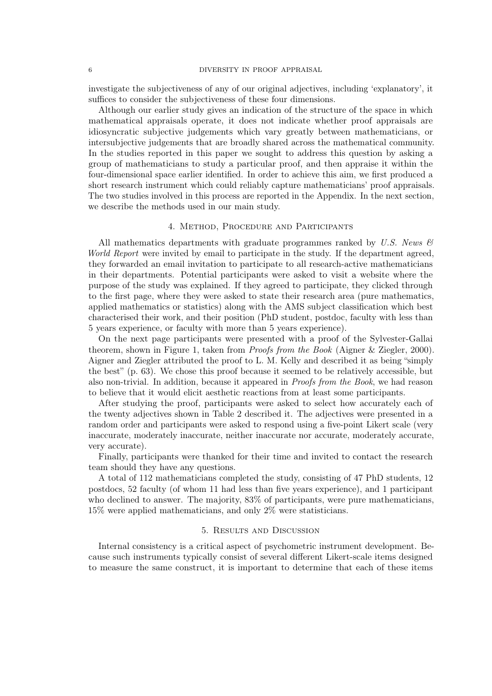investigate the subjectiveness of any of our original adjectives, including 'explanatory', it suffices to consider the subjectiveness of these four dimensions.

Although our earlier study gives an indication of the structure of the space in which mathematical appraisals operate, it does not indicate whether proof appraisals are idiosyncratic subjective judgements which vary greatly between mathematicians, or intersubjective judgements that are broadly shared across the mathematical community. In the studies reported in this paper we sought to address this question by asking a group of mathematicians to study a particular proof, and then appraise it within the four-dimensional space earlier identified. In order to achieve this aim, we first produced a short research instrument which could reliably capture mathematicians' proof appraisals. The two studies involved in this process are reported in the Appendix. In the next section, we describe the methods used in our main study.

#### 4. Method, Procedure and Participants

All mathematics departments with graduate programmes ranked by U.S. News  $\mathcal{C}$ World Report were invited by email to participate in the study. If the department agreed, they forwarded an email invitation to participate to all research-active mathematicians in their departments. Potential participants were asked to visit a website where the purpose of the study was explained. If they agreed to participate, they clicked through to the first page, where they were asked to state their research area (pure mathematics, applied mathematics or statistics) along with the AMS subject classification which best characterised their work, and their position (PhD student, postdoc, faculty with less than 5 years experience, or faculty with more than 5 years experience).

On the next page participants were presented with a proof of the Sylvester-Gallai theorem, shown in Figure 1, taken from Proofs from the Book (Aigner & Ziegler, 2000). Aigner and Ziegler attributed the proof to L. M. Kelly and described it as being "simply the best" (p. 63). We chose this proof because it seemed to be relatively accessible, but also non-trivial. In addition, because it appeared in Proofs from the Book, we had reason to believe that it would elicit aesthetic reactions from at least some participants.

After studying the proof, participants were asked to select how accurately each of the twenty adjectives shown in Table 2 described it. The adjectives were presented in a random order and participants were asked to respond using a five-point Likert scale (very inaccurate, moderately inaccurate, neither inaccurate nor accurate, moderately accurate, very accurate).

Finally, participants were thanked for their time and invited to contact the research team should they have any questions.

A total of 112 mathematicians completed the study, consisting of 47 PhD students, 12 postdocs, 52 faculty (of whom 11 had less than five years experience), and 1 participant who declined to answer. The majority, 83% of participants, were pure mathematicians, 15% were applied mathematicians, and only 2% were statisticians.

## 5. Results and Discussion

Internal consistency is a critical aspect of psychometric instrument development. Because such instruments typically consist of several different Likert-scale items designed to measure the same construct, it is important to determine that each of these items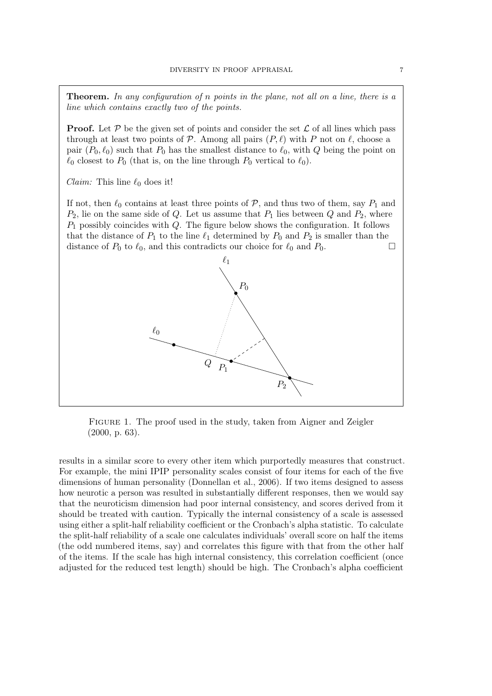**Theorem.** In any configuration of n points in the plane, not all on a line, there is a line which contains exactly two of the points.

**Proof.** Let  $P$  be the given set of points and consider the set  $\mathcal L$  of all lines which pass through at least two points of  $P$ . Among all pairs  $(P, \ell)$  with P not on  $\ell$ , choose a pair  $(P_0, \ell_0)$  such that  $P_0$  has the smallest distance to  $\ell_0$ , with Q being the point on  $\ell_0$  closest to  $P_0$  (that is, on the line through  $P_0$  vertical to  $\ell_0$ ).

*Claim:* This line  $\ell_0$  does it!

If not, then  $\ell_0$  contains at least three points of  $P$ , and thus two of them, say  $P_1$  and  $P_2$ , lie on the same side of Q. Let us assume that  $P_1$  lies between Q and  $P_2$ , where  $P_1$  possibly coincides with  $Q$ . The figure below shows the configuration. It follows that the distance of  $P_1$  to the line  $\ell_1$  determined by  $P_0$  and  $P_2$  is smaller than the distance of  $P_0$  to  $\ell_0$ , and this contradicts our choice for  $\ell_0$  and  $P_0$ .



FIGURE 1. The proof used in the study, taken from Aigner and Zeigler (2000, p. 63).

results in a similar score to every other item which purportedly measures that construct. For example, the mini IPIP personality scales consist of four items for each of the five dimensions of human personality (Donnellan et al., 2006). If two items designed to assess how neurotic a person was resulted in substantially different responses, then we would say that the neuroticism dimension had poor internal consistency, and scores derived from it should be treated with caution. Typically the internal consistency of a scale is assessed using either a split-half reliability coefficient or the Cronbach's alpha statistic. To calculate the split-half reliability of a scale one calculates individuals' overall score on half the items (the odd numbered items, say) and correlates this figure with that from the other half of the items. If the scale has high internal consistency, this correlation coefficient (once adjusted for the reduced test length) should be high. The Cronbach's alpha coefficient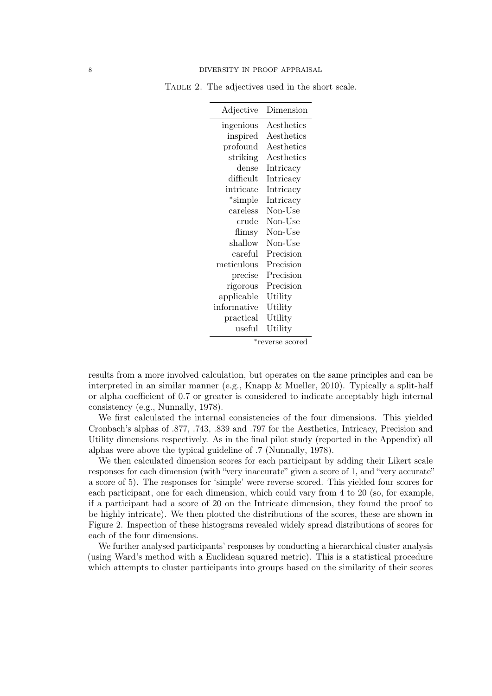Table 2. The adjectives used in the short scale.

| Adjective       | Dimension  |  |
|-----------------|------------|--|
| ingenious       | Aesthetics |  |
| inspired        | Aesthetics |  |
| profound        | Aesthetics |  |
| striking        | Aesthetics |  |
| dense           | Intricacy  |  |
| difficult       | Intricacy  |  |
| intricate       | Intricacy  |  |
| *simple         | Intricacy  |  |
| careless        | Non-Use    |  |
| crude           | Non-Use    |  |
| flimsy          | Non-Use    |  |
| shallow         | Non-Use    |  |
| careful         | Precision  |  |
| meticulous      | Precision  |  |
| precise         | Precision  |  |
| rigorous        | Precision  |  |
| applicable      | Utility    |  |
| informative     | Utility    |  |
| practical       | Utility    |  |
| useful          | Utility    |  |
| *reverse scored |            |  |

results from a more involved calculation, but operates on the same principles and can be interpreted in an similar manner (e.g., Knapp & Mueller, 2010). Typically a split-half or alpha coefficient of 0.7 or greater is considered to indicate acceptably high internal consistency (e.g., Nunnally, 1978).

We first calculated the internal consistencies of the four dimensions. This yielded Cronbach's alphas of .877, .743, .839 and .797 for the Aesthetics, Intricacy, Precision and Utility dimensions respectively. As in the final pilot study (reported in the Appendix) all alphas were above the typical guideline of .7 (Nunnally, 1978).

We then calculated dimension scores for each participant by adding their Likert scale responses for each dimension (with "very inaccurate" given a score of 1, and "very accurate" a score of 5). The responses for 'simple' were reverse scored. This yielded four scores for each participant, one for each dimension, which could vary from 4 to 20 (so, for example, if a participant had a score of 20 on the Intricate dimension, they found the proof to be highly intricate). We then plotted the distributions of the scores, these are shown in Figure 2. Inspection of these histograms revealed widely spread distributions of scores for each of the four dimensions.

We further analysed participants' responses by conducting a hierarchical cluster analysis (using Ward's method with a Euclidean squared metric). This is a statistical procedure which attempts to cluster participants into groups based on the similarity of their scores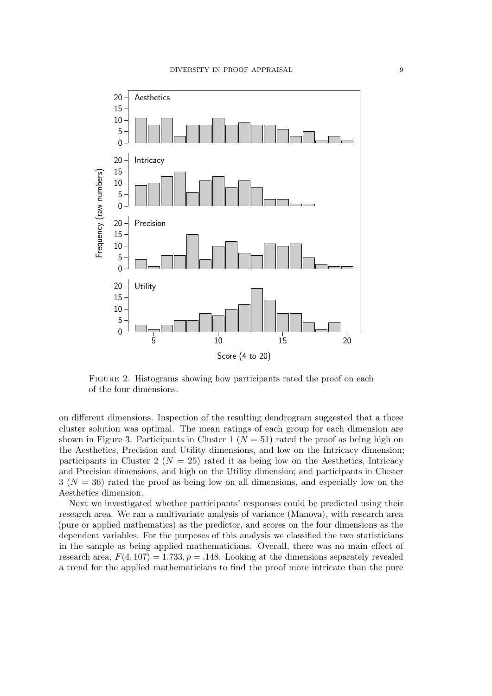

FIGURE 2. Histograms showing how participants rated the proof on each of the four dimensions.

on different dimensions. Inspection of the resulting dendrogram suggested that a three cluster solution was optimal. The mean ratings of each group for each dimension are shown in Figure 3. Participants in Cluster 1 ( $N = 51$ ) rated the proof as being high on the Aesthetics, Precision and Utility dimensions, and low on the Intricacy dimension; participants in Cluster 2 ( $N = 25$ ) rated it as being low on the Aesthetics, Intricacy and Precision dimensions, and high on the Utility dimension; and participants in Cluster  $3(N = 36)$  rated the proof as being low on all dimensions, and especially low on the Aesthetics dimension.

Next we investigated whether participants' responses could be predicted using their research area. We ran a multivariate analysis of variance (Manova), with research area (pure or applied mathematics) as the predictor, and scores on the four dimensions as the dependent variables. For the purposes of this analysis we classified the two statisticians in the sample as being applied mathematicians. Overall, there was no main effect of research area,  $F(4, 107) = 1.733$ ,  $p = .148$ . Looking at the dimensions separately revealed a trend for the applied mathematicians to find the proof more intricate than the pure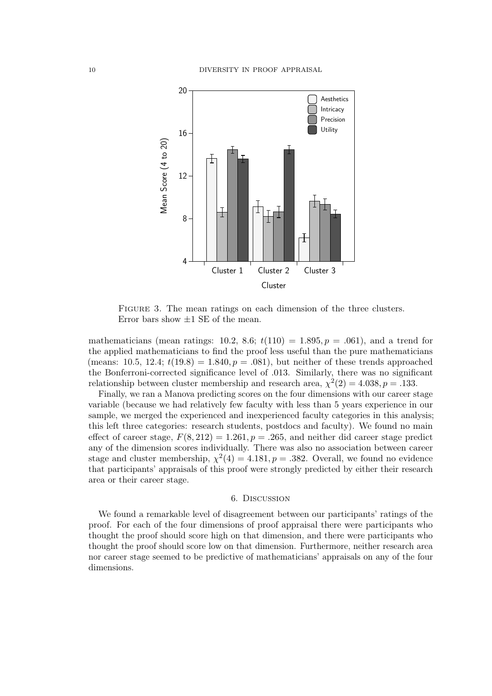

FIGURE 3. The mean ratings on each dimension of the three clusters. Error bars show  $\pm 1$  SE of the mean.

mathematicians (mean ratings: 10.2, 8.6;  $t(110) = 1.895, p = .061$ ), and a trend for the applied mathematicians to find the proof less useful than the pure mathematicians (means: 10.5, 12.4;  $t(19.8) = 1.840, p = .081$ ), but neither of these trends approached the Bonferroni-corrected significance level of .013. Similarly, there was no significant relationship between cluster membership and research area,  $\chi^2(2) = 4.038, p = .133$ .

Finally, we ran a Manova predicting scores on the four dimensions with our career stage variable (because we had relatively few faculty with less than 5 years experience in our sample, we merged the experienced and inexperienced faculty categories in this analysis; this left three categories: research students, postdocs and faculty). We found no main effect of career stage,  $F(8, 212) = 1.261, p = .265$ , and neither did career stage predict any of the dimension scores individually. There was also no association between career stage and cluster membership,  $\chi^2(4) = 4.181, p = .382$ . Overall, we found no evidence that participants' appraisals of this proof were strongly predicted by either their research area or their career stage.

#### 6. Discussion

We found a remarkable level of disagreement between our participants' ratings of the proof. For each of the four dimensions of proof appraisal there were participants who thought the proof should score high on that dimension, and there were participants who thought the proof should score low on that dimension. Furthermore, neither research area nor career stage seemed to be predictive of mathematicians' appraisals on any of the four dimensions.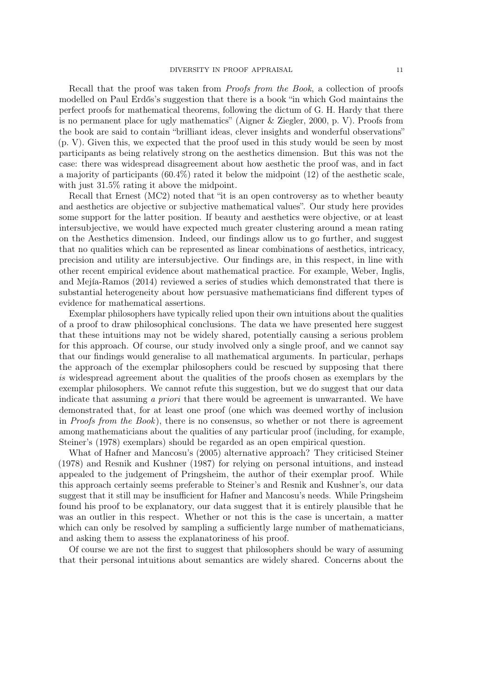Recall that the proof was taken from *Proofs from the Book*, a collection of proofs modelled on Paul Erdős's suggestion that there is a book "in which God maintains the perfect proofs for mathematical theorems, following the dictum of G. H. Hardy that there is no permanent place for ugly mathematics" (Aigner & Ziegler, 2000, p. V). Proofs from the book are said to contain "brilliant ideas, clever insights and wonderful observations" (p. V). Given this, we expected that the proof used in this study would be seen by most participants as being relatively strong on the aesthetics dimension. But this was not the case: there was widespread disagreement about how aesthetic the proof was, and in fact a majority of participants (60.4%) rated it below the midpoint (12) of the aesthetic scale, with just 31.5% rating it above the midpoint.

Recall that Ernest (MC2) noted that "it is an open controversy as to whether beauty and aesthetics are objective or subjective mathematical values". Our study here provides some support for the latter position. If beauty and aesthetics were objective, or at least intersubjective, we would have expected much greater clustering around a mean rating on the Aesthetics dimension. Indeed, our findings allow us to go further, and suggest that no qualities which can be represented as linear combinations of aesthetics, intricacy, precision and utility are intersubjective. Our findings are, in this respect, in line with other recent empirical evidence about mathematical practice. For example, Weber, Inglis, and Mejía-Ramos (2014) reviewed a series of studies which demonstrated that there is substantial heterogeneity about how persuasive mathematicians find different types of evidence for mathematical assertions.

Exemplar philosophers have typically relied upon their own intuitions about the qualities of a proof to draw philosophical conclusions. The data we have presented here suggest that these intuitions may not be widely shared, potentially causing a serious problem for this approach. Of course, our study involved only a single proof, and we cannot say that our findings would generalise to all mathematical arguments. In particular, perhaps the approach of the exemplar philosophers could be rescued by supposing that there is widespread agreement about the qualities of the proofs chosen as exemplars by the exemplar philosophers. We cannot refute this suggestion, but we do suggest that our data indicate that assuming a priori that there would be agreement is unwarranted. We have demonstrated that, for at least one proof (one which was deemed worthy of inclusion in Proofs from the Book), there is no consensus, so whether or not there is agreement among mathematicians about the qualities of any particular proof (including, for example, Steiner's (1978) exemplars) should be regarded as an open empirical question.

What of Hafner and Mancosu's (2005) alternative approach? They criticised Steiner (1978) and Resnik and Kushner (1987) for relying on personal intuitions, and instead appealed to the judgement of Pringsheim, the author of their exemplar proof. While this approach certainly seems preferable to Steiner's and Resnik and Kushner's, our data suggest that it still may be insufficient for Hafner and Mancosu's needs. While Pringsheim found his proof to be explanatory, our data suggest that it is entirely plausible that he was an outlier in this respect. Whether or not this is the case is uncertain, a matter which can only be resolved by sampling a sufficiently large number of mathematicians, and asking them to assess the explanatoriness of his proof.

Of course we are not the first to suggest that philosophers should be wary of assuming that their personal intuitions about semantics are widely shared. Concerns about the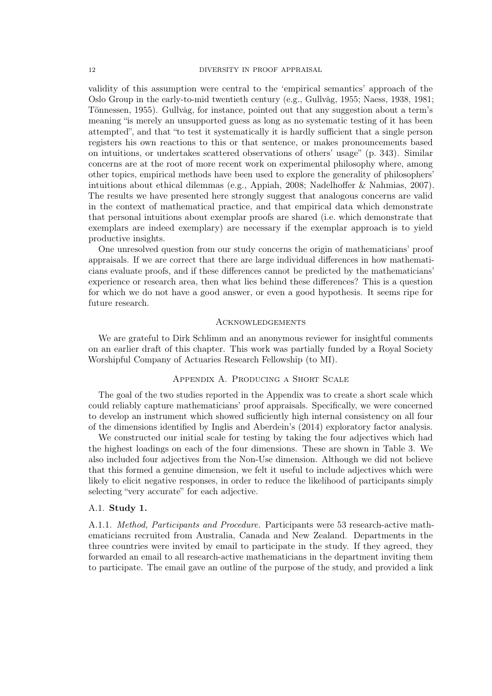validity of this assumption were central to the 'empirical semantics' approach of the Oslo Group in the early-to-mid twentieth century (e.g., Gullvåg, 1955; Naess, 1938, 1981; Tönnessen, 1955). Gullvåg, for instance, pointed out that any suggestion about a term's meaning "is merely an unsupported guess as long as no systematic testing of it has been attempted", and that "to test it systematically it is hardly sufficient that a single person registers his own reactions to this or that sentence, or makes pronouncements based on intuitions, or undertakes scattered observations of others' usage" (p. 343). Similar concerns are at the root of more recent work on experimental philosophy where, among other topics, empirical methods have been used to explore the generality of philosophers' intuitions about ethical dilemmas (e.g., Appiah, 2008; Nadelhoffer & Nahmias, 2007). The results we have presented here strongly suggest that analogous concerns are valid in the context of mathematical practice, and that empirical data which demonstrate that personal intuitions about exemplar proofs are shared (i.e. which demonstrate that exemplars are indeed exemplary) are necessary if the exemplar approach is to yield productive insights.

One unresolved question from our study concerns the origin of mathematicians' proof appraisals. If we are correct that there are large individual differences in how mathematicians evaluate proofs, and if these differences cannot be predicted by the mathematicians' experience or research area, then what lies behind these differences? This is a question for which we do not have a good answer, or even a good hypothesis. It seems ripe for future research.

## **ACKNOWLEDGEMENTS**

We are grateful to Dirk Schlimm and an anonymous reviewer for insightful comments on an earlier draft of this chapter. This work was partially funded by a Royal Society Worshipful Company of Actuaries Research Fellowship (to MI).

## Appendix A. Producing a Short Scale

The goal of the two studies reported in the Appendix was to create a short scale which could reliably capture mathematicians' proof appraisals. Specifically, we were concerned to develop an instrument which showed sufficiently high internal consistency on all four of the dimensions identified by Inglis and Aberdein's (2014) exploratory factor analysis.

We constructed our initial scale for testing by taking the four adjectives which had the highest loadings on each of the four dimensions. These are shown in Table 3. We also included four adjectives from the Non-Use dimension. Although we did not believe that this formed a genuine dimension, we felt it useful to include adjectives which were likely to elicit negative responses, in order to reduce the likelihood of participants simply selecting "very accurate" for each adjective.

#### A.1. Study 1.

A.1.1. Method, Participants and Procedure. Participants were 53 research-active mathematicians recruited from Australia, Canada and New Zealand. Departments in the three countries were invited by email to participate in the study. If they agreed, they forwarded an email to all research-active mathematicians in the department inviting them to participate. The email gave an outline of the purpose of the study, and provided a link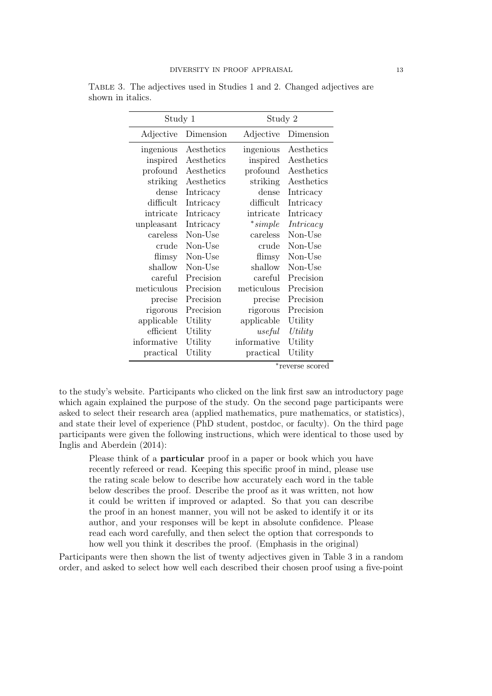| Study 1     |            | Study 2     |            |
|-------------|------------|-------------|------------|
| Adjective   | Dimension  | Adjective   | Dimension  |
| ingenious   | Aesthetics | ingenious   | Aesthetics |
| inspired    | Aesthetics | inspired    | Aesthetics |
| profound    | Aesthetics | profound    | Aesthetics |
| striking    | Aesthetics | striking    | Aesthetics |
| dense       | Intricacy  | dense       | Intricacy  |
| difficult   | Intricacy  | difficult   | Intricacy  |
| intricate   | Intricacy  | intricate   | Intricacy  |
| unpleasant  | Intricacy  | $* simple$  | Intricacy  |
| careless    | Non-Use    | careless    | Non-Use    |
| crude       | Non-Use    | crude       | Non-Use    |
| flimsy      | Non-Use    | flimsy      | Non-Use    |
| shallow     | Non-Use    | shallow     | Non-Use    |
| careful     | Precision  | careful     | Precision  |
| meticulous  | Precision  | meticulous  | Precision  |
| precise     | Precision  | precise     | Precision  |
| rigorous    | Precision  | rigorous    | Precision  |
| applicable  | Utility    | applicable  | Utility    |
| efficient   | Utility    | useful      | Utility    |
| informative | Utility    | informative | Utility    |
| practical   | Utility    | practical   | Utility    |

Table 3. The adjectives used in Studies 1 and 2. Changed adjectives are shown in italics.

∗ reverse scored

to the study's website. Participants who clicked on the link first saw an introductory page which again explained the purpose of the study. On the second page participants were asked to select their research area (applied mathematics, pure mathematics, or statistics), and state their level of experience (PhD student, postdoc, or faculty). On the third page participants were given the following instructions, which were identical to those used by Inglis and Aberdein (2014):

Please think of a particular proof in a paper or book which you have recently refereed or read. Keeping this specific proof in mind, please use the rating scale below to describe how accurately each word in the table below describes the proof. Describe the proof as it was written, not how it could be written if improved or adapted. So that you can describe the proof in an honest manner, you will not be asked to identify it or its author, and your responses will be kept in absolute confidence. Please read each word carefully, and then select the option that corresponds to how well you think it describes the proof. (Emphasis in the original)

Participants were then shown the list of twenty adjectives given in Table 3 in a random order, and asked to select how well each described their chosen proof using a five-point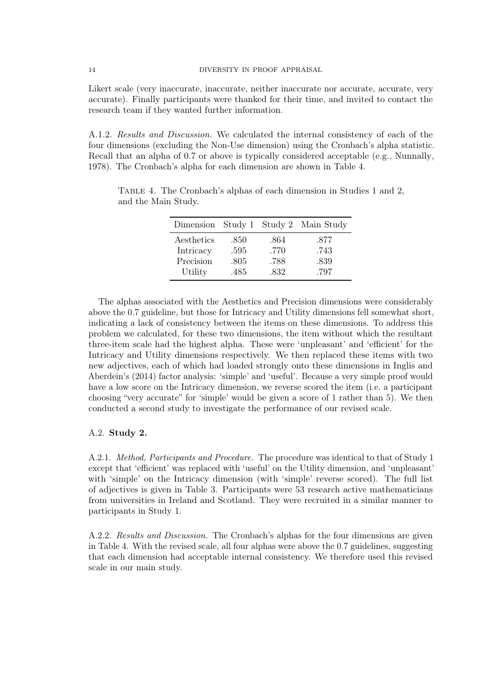Likert scale (very inaccurate, inaccurate, neither inaccurate nor accurate, accurate, very accurate). Finally participants were thanked for their time, and invited to contact the research team if they wanted further information.

A.1.2. Results and Discussion. We calculated the internal consistency of each of the four dimensions (excluding the Non-Use dimension) using the Cronbach's alpha statistic. Recall that an alpha of 0.7 or above is typically considered acceptable (e.g., Nunnally, 1978). The Cronbach's alpha for each dimension are shown in Table 4.

| .850 | .864 | .877                                 |
|------|------|--------------------------------------|
| .595 | .770 | .743                                 |
| .805 | .788 | .839                                 |
| .485 | .832 | .797                                 |
|      |      | Dimension Study 1 Study 2 Main Study |

TABLE 4. The Cronbach's alphas of each dimension in Studies 1 and 2, and the Main Study.

The alphas associated with the Aesthetics and Precision dimensions were considerably above the 0.7 guideline, but those for Intricacy and Utility dimensions fell somewhat short, indicating a lack of consistency between the items on these dimensions. To address this problem we calculated, for these two dimensions, the item without which the resultant three-item scale had the highest alpha. These were 'unpleasant' and 'efficient' for the Intricacy and Utility dimensions respectively. We then replaced these items with two new adjectives, each of which had loaded strongly onto these dimensions in Inglis and Aberdein's (2014) factor analysis: 'simple' and 'useful'. Because a very simple proof would have a low score on the Intricacy dimension, we reverse scored the item (i.e. a participant choosing "very accurate" for 'simple' would be given a score of 1 rather than 5). We then conducted a second study to investigate the performance of our revised scale.

### A.2. Study 2.

A.2.1. Method, Participants and Procedure. The procedure was identical to that of Study 1 except that 'efficient' was replaced with 'useful' on the Utility dimension, and 'unpleasant' with 'simple' on the Intricacy dimension (with 'simple' reverse scored). The full list of adjectives is given in Table 3. Participants were 53 research active mathematicians from universities in Ireland and Scotland. They were recruited in a similar manner to participants in Study 1.

A.2.2. Results and Discussion. The Cronbach's alphas for the four dimensions are given in Table 4. With the revised scale, all four alphas were above the 0.7 guidelines, suggesting that each dimension had acceptable internal consistency. We therefore used this revised scale in our main study.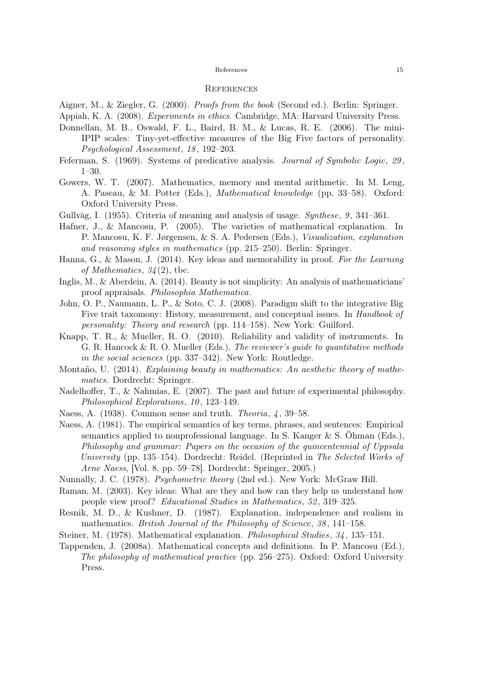#### References 15

#### **REFERENCES**

Aigner, M., & Ziegler, G. (2000). Proofs from the book (Second ed.). Berlin: Springer.

Appiah, K. A. (2008). Experiments in ethics. Cambridge, MA: Harvard University Press.

- Donnellan, M. B., Oswald, F. L., Baird, B. M., & Lucas, R. E. (2006). The mini-IPIP scales: Tiny-yet-effective measures of the Big Five factors of personality. Psychological Assessment, 18, 192-203.
- Feferman, S. (1969). Systems of predicative analysis. Journal of Symbolic Logic, 29, 1–30.
- Gowers, W. T. (2007). Mathematics, memory and mental arithmetic. In M. Leng, A. Paseau, & M. Potter (Eds.), Mathematical knowledge (pp. 33–58). Oxford: Oxford University Press.
- Gullvåg, I. (1955). Criteria of meaning and analysis of usage. Synthese, 9, 341–361.
- Hafner, J., & Mancosu, P. (2005). The varieties of mathematical explanation. In P. Mancosu, K. F. Jørgensen, & S. A. Pedersen (Eds.), Visualization, explanation and reasoning styles in mathematics (pp. 215–250). Berlin: Springer.
- Hanna, G., & Mason, J. (2014). Key ideas and memorability in proof. For the Learning of Mathematics,  $34(2)$ , tbc.
- Inglis, M., & Aberdein, A. (2014). Beauty is not simplicity: An analysis of mathematicians' proof appraisals. Philosophia Mathematica.
- John, O. P., Naumann, L. P., & Soto, C. J. (2008). Paradigm shift to the integrative Big Five trait taxomony: History, measurement, and conceptual issues. In *Handbook of* personality: Theory and research (pp. 114–158). New York: Guilford.
- Knapp, T. R., & Mueller, R. O. (2010). Reliability and validity of instruments. In G. R. Hancock  $\&$  R. O. Mueller (Eds.), The reviewer's quide to quantitative methods in the social sciences (pp. 337–342). New York: Routledge.
- Montaño, U. (2014). Explaining beauty in mathematics: An aesthetic theory of mathematics. Dordrecht: Springer.
- Nadelhoffer, T., & Nahmias, E. (2007). The past and future of experimental philosophy. Philosophical Explorations, 10, 123-149.
- Naess, A.  $(1938)$ . Common sense and truth. *Theoria*,  $\lambda$ , 39–58.
- Naess, A. (1981). The empirical semantics of key terms, phrases, and sentences: Empirical semantics applied to nonprofessional language. In S. Kanger & S. Öhman (Eds.), Philosophy and grammar: Papers on the occasion of the quincentennial of Uppsala University (pp. 135–154). Dordrecht: Reidel. (Reprinted in The Selected Works of Arne Naess, [Vol. 8, pp. 59–78]. Dordrecht: Springer, 2005.)
- Nunnally, J. C. (1978). Psychometric theory (2nd ed.). New York: McGraw Hill.
- Raman, M. (2003). Key ideas: What are they and how can they help us understand how people view proof? Educational Studies in Mathematics, 52 , 319–325.
- Resnik, M. D., & Kushner, D. (1987). Explanation, independence and realism in mathematics. *British Journal of the Philosophy of Science*, 38, 141–158.
- Steiner, M. (1978). Mathematical explanation. *Philosophical Studies*, 34, 135–151.
- Tappenden, J. (2008a). Mathematical concepts and definitions. In P. Mancosu (Ed.), The philosophy of mathematical practice (pp. 256–275). Oxford: Oxford University Press.